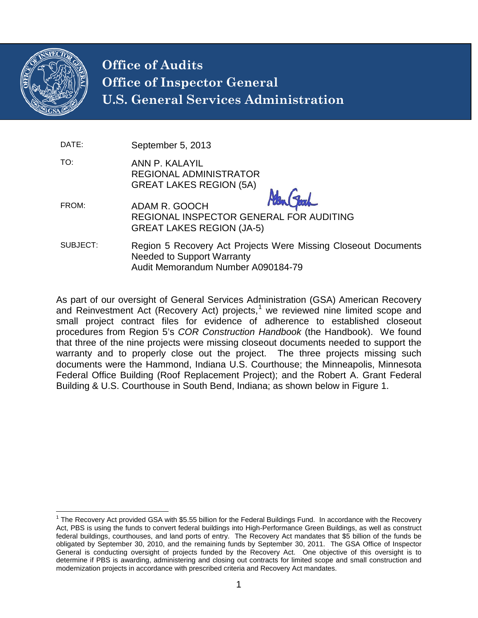

# **Office of Audits Office of Inspector General U.S. General Services Administration**

| September 5, 2013 |
|-------------------|
|                   |

TO: ANN P. KALAYIL REGIONAL ADMINISTRATOR GREAT LAKES REGION (5A)

- FROM: ADAM R. GOOCH REGIONAL INSPECTOR GENERAL FOR AUDITING GREAT LAKES REGION (JA-5)
- SUBJECT: Region 5 Recovery Act Projects Were Missing Closeout Documents Needed to Support Warranty Audit Memorandum Number A090184-79

As part of our oversight of General Services Administration (GSA) American Recovery and Reinvestment Act (Recovery Act) projects,<sup>[1](#page-0-0)</sup> we reviewed nine limited scope and small project contract files for evidence of adherence to established closeout procedures from Region 5's *COR Construction Handbook* (the Handbook). We found that three of the nine projects were missing closeout documents needed to support the warranty and to properly close out the project. The three projects missing such documents were the Hammond, Indiana U.S. Courthouse; the Minneapolis, Minnesota Federal Office Building (Roof Replacement Project); and the Robert A. Grant Federal Building & U.S. Courthouse in South Bend, Indiana; as shown below in Figure 1.

<span id="page-0-0"></span> $1$  The Recovery Act provided GSA with \$5.55 billion for the Federal Buildings Fund. In accordance with the Recovery Act, PBS is using the funds to convert federal buildings into High-Performance Green Buildings, as well as construct federal buildings, courthouses, and land ports of entry. The Recovery Act mandates that \$5 billion of the funds be obligated by September 30, 2010, and the remaining funds by September 30, 2011. The GSA Office of Inspector General is conducting oversight of projects funded by the Recovery Act. One objective of this oversight is to determine if PBS is awarding, administering and closing out contracts for limited scope and small construction and modernization projects in accordance with prescribed criteria and Recovery Act mandates.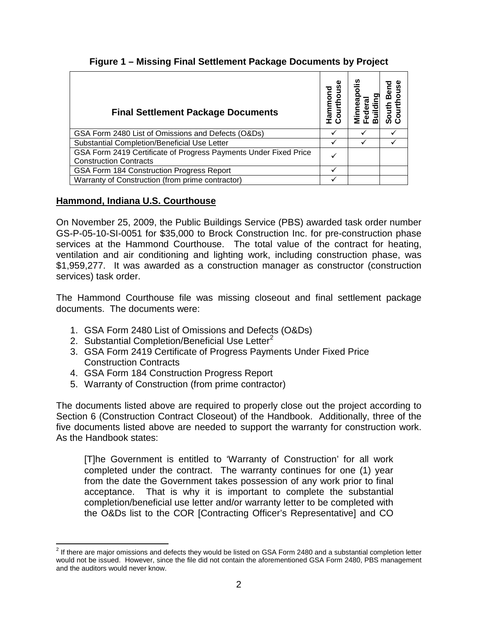| <b>Final Settlement Package Documents</b>                                                         |   | <u>.ഗ</u> |  |
|---------------------------------------------------------------------------------------------------|---|-----------|--|
| GSA Form 2480 List of Omissions and Defects (O&Ds)                                                | v |           |  |
| Substantial Completion/Beneficial Use Letter                                                      |   |           |  |
| GSA Form 2419 Certificate of Progress Payments Under Fixed Price<br><b>Construction Contracts</b> |   |           |  |
| GSA Form 184 Construction Progress Report                                                         |   |           |  |
| Warranty of Construction (from prime contractor)                                                  |   |           |  |

## **Figure 1 – Missing Final Settlement Package Documents by Project**

## **Hammond, Indiana U.S. Courthouse**

On November 25, 2009, the Public Buildings Service (PBS) awarded task order number GS-P-05-10-SI-0051 for \$35,000 to Brock Construction Inc. for pre-construction phase services at the Hammond Courthouse. The total value of the contract for heating, ventilation and air conditioning and lighting work, including construction phase, was \$1,959,277. It was awarded as a construction manager as constructor (construction services) task order.

The Hammond Courthouse file was missing closeout and final settlement package documents. The documents were:

- 1. GSA Form 2480 List of Omissions and Defects (O&Ds)
- [2](#page-1-0). Substantial Completion/Beneficial Use Letter<sup>2</sup>
- 3. GSA Form 2419 Certificate of Progress Payments Under Fixed Price Construction Contracts
- 4. GSA Form 184 Construction Progress Report
- 5. Warranty of Construction (from prime contractor)

The documents listed above are required to properly close out the project according to Section 6 (Construction Contract Closeout) of the Handbook. Additionally, three of the five documents listed above are needed to support the warranty for construction work. As the Handbook states:

[T]he Government is entitled to 'Warranty of Construction' for all work completed under the contract. The warranty continues for one (1) year from the date the Government takes possession of any work prior to final acceptance. That is why it is important to complete the substantial completion/beneficial use letter and/or warranty letter to be completed with the O&Ds list to the COR [Contracting Officer's Representative] and CO

<span id="page-1-0"></span> $2$  If there are major omissions and defects they would be listed on GSA Form 2480 and a substantial completion letter would not be issued. However, since the file did not contain the aforementioned GSA Form 2480, PBS management and the auditors would never know.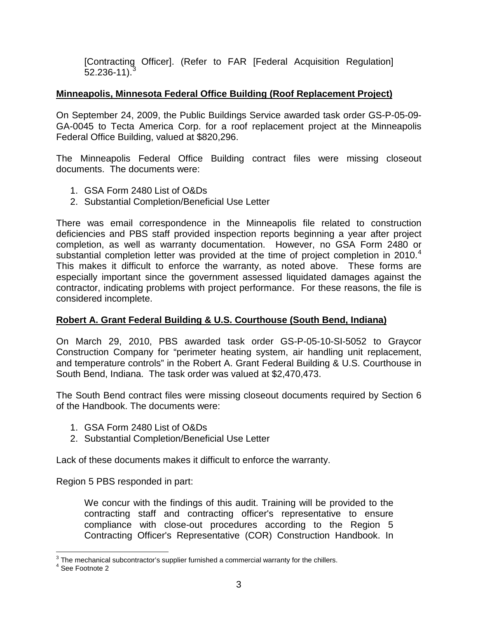[Contracting Officer]. (Refer to FAR [Federal Acquisition Regulation]  $52.236 - 11$  $52.236 - 11$  $52.236 - 11$ .

#### **Minneapolis, Minnesota Federal Office Building (Roof Replacement Project)**

On September 24, 2009, the Public Buildings Service awarded task order GS-P-05-09- GA-0045 to Tecta America Corp. for a roof replacement project at the Minneapolis Federal Office Building, valued at \$820,296.

The Minneapolis Federal Office Building contract files were missing closeout documents. The documents were:

- 1. GSA Form 2480 List of O&Ds
- 2. Substantial Completion/Beneficial Use Letter

There was email correspondence in the Minneapolis file related to construction deficiencies and PBS staff provided inspection reports beginning a year after project completion, as well as warranty documentation. However, no GSA Form 2480 or substantial completion letter was provided at the time of project completion in 2010.<sup>[4](#page-2-1)</sup> This makes it difficult to enforce the warranty, as noted above. These forms are especially important since the government assessed liquidated damages against the contractor, indicating problems with project performance. For these reasons, the file is considered incomplete.

#### **Robert A. Grant Federal Building & U.S. Courthouse (South Bend, Indiana)**

On March 29, 2010, PBS awarded task order GS-P-05-10-SI-5052 to Graycor Construction Company for "perimeter heating system, air handling unit replacement, and temperature controls" in the Robert A. Grant Federal Building & U.S. Courthouse in South Bend, Indiana. The task order was valued at \$2,470,473.

The South Bend contract files were missing closeout documents required by Section 6 of the Handbook. The documents were:

- 1. GSA Form 2480 List of O&Ds
- 2. Substantial Completion/Beneficial Use Letter

Lack of these documents makes it difficult to enforce the warranty.

Region 5 PBS responded in part:

We concur with the findings of this audit. Training will be provided to the contracting staff and contracting officer's representative to ensure compliance with close-out procedures according to the Region 5 Contracting Officer's Representative (COR) Construction Handbook. In

<span id="page-2-1"></span><span id="page-2-0"></span> $3$  The mechanical subcontractor's supplier furnished a commercial warranty for the chillers.<br> $4$  See Footnote 2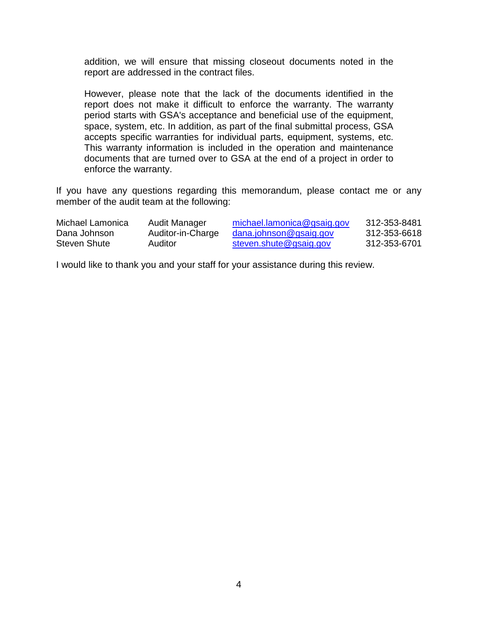addition, we will ensure that missing closeout documents noted in the report are addressed in the contract files.

However, please note that the lack of the documents identified in the report does not make it difficult to enforce the warranty. The warranty period starts with GSA's acceptance and beneficial use of the equipment, space, system, etc. In addition, as part of the final submittal process, GSA accepts specific warranties for individual parts, equipment, systems, etc. This warranty information is included in the operation and maintenance documents that are turned over to GSA at the end of a project in order to enforce the warranty.

If you have any questions regarding this memorandum, please contact me or any member of the audit team at the following:

| Michael Lamonica | Audit Manager     | michael.lamonica@gsaig.gov    | 312-353-8481 |
|------------------|-------------------|-------------------------------|--------------|
| Dana Johnson     | Auditor-in-Charge | <u>dana.johnson@gsaig.gov</u> | 312-353-6618 |
| Steven Shute     | Auditor           | steven.shute@gsaig.gov        | 312-353-6701 |

I would like to thank you and your staff for your assistance during this review.